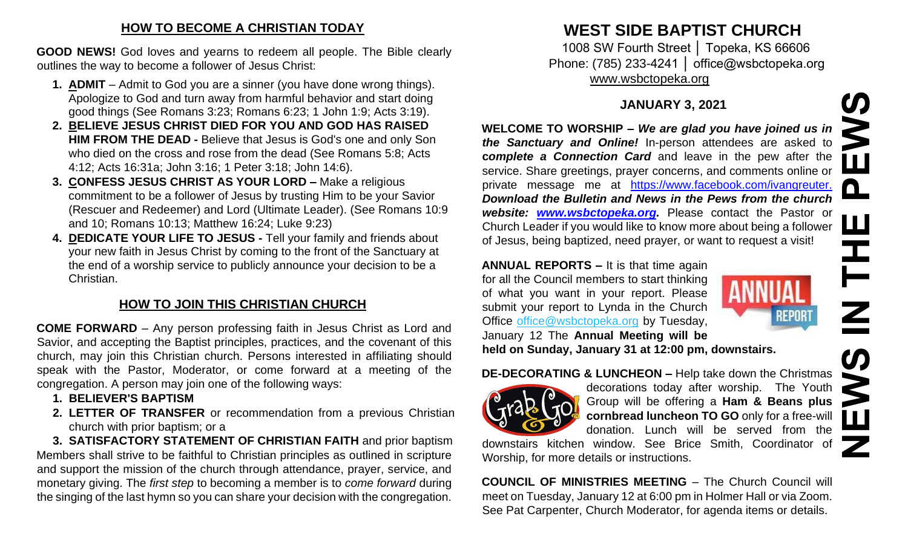#### **HOW TO BECOME A CHRISTIAN TODAY**

**GOOD NEWS!** God loves and yearns to redeem all people. The Bible clearly outlines the way to become a follower of Jesus Christ:

- **1. ADMIT**  Admit to God you are a sinner (you have done wrong things). Apologize to God and turn away from harmful behavior and start doing good things (See Romans 3:23; Romans 6:23; 1 John 1:9; Acts 3:19).
- **2. BELIEVE JESUS CHRIST DIED FOR YOU AND GOD HAS RAISED HIM FROM THE DEAD -** Believe that Jesus is God's one and only Son who died on the cross and rose from the dead (See Romans 5:8; Acts 4:12; Acts 16:31a; John 3:16; 1 Peter 3:18; John 14:6).
- **3. CONFESS JESUS CHRIST AS YOUR LORD –** Make a religious commitment to be a follower of Jesus by trusting Him to be your Savior (Rescuer and Redeemer) and Lord (Ultimate Leader). (See Romans 10:9 and 10; Romans 10:13; Matthew 16:24; Luke 9:23)
- **4. DEDICATE YOUR LIFE TO JESUS -** Tell your family and friends about your new faith in Jesus Christ by coming to the front of the Sanctuary at the end of a worship service to publicly announce your decision to be a Christian.

## **HOW TO JOIN THIS CHRISTIAN CHURCH**

**COME FORWARD** – Any person professing faith in Jesus Christ as Lord and Savior, and accepting the Baptist principles, practices, and the covenant of this church, may join this Christian church. Persons interested in affiliating should speak with the Pastor, Moderator, or come forward at a meeting of the congregation. A person may join one of the following ways:

- **1. BELIEVER'S BAPTISM**
- **2. LETTER OF TRANSFER** or recommendation from a previous Christian church with prior baptism; or a

**3. SATISFACTORY STATEMENT OF CHRISTIAN FAITH** and prior baptism Members shall strive to be faithful to Christian principles as outlined in scripture and support the mission of the church through attendance, prayer, service, and monetary giving. The *first step* to becoming a member is to *come forward* during the singing of the last hymn so you can share your decision with the congregation.

# **WEST SIDE BAPTIST CHURCH**

1008 SW Fourth Street │ Topeka, KS 66606 Phone: (785) 233-4241 │ office@wsbctopeka.org [www.wsbctopeka.org](http://www.wsbctopeka.org/)

### **JANUARY 3, 2021**

**WELCOME TO WORSHIP –** *We are glad you have joined us in the Sanctuary and Online!* In-person attendees are asked to **c***omplete a Connection Card* and leave in the pew after the service. Share greetings, prayer concerns, and comments online or private message me at <https://www.facebook.com/ivangreuter.> *Download the Bulletin and News in the Pews from the church website: [www.wsbctopeka.org.](http://www.wsbctopeka.org/)* Please contact the Pastor or Church Leader if you would like to know more about being a follower of Jesus, being baptized, need prayer, or want to request a visit!

**ANNUAL REPORTS –** It is that time again for all the Council members to start thinking of what you want in your report. Please submit your report to Lynda in the Church Office office@wsbctopeka.org by Tuesday, January 12 The **Annual Meeting will be held on Sunday, January 31 at 12:00 pm, downstairs.** 



#### **DE-DECORATING & LUNCHEON –** Help take down the Christmas



decorations today after worship. The Youth Group will be offering a **Ham & Beans plus cornbread luncheon TO GO** only for a free-will donation. Lunch will be served from the

downstairs kitchen window. See Brice Smith, Coordinator of Worship, for more details or instructions.

**COUNCIL OF MINISTRIES MEETING** – The Church Council will meet on Tuesday, January 12 at 6:00 pm in Holmer Hall or via Zoom. See Pat Carpenter, Church Moderator, for agenda items or details.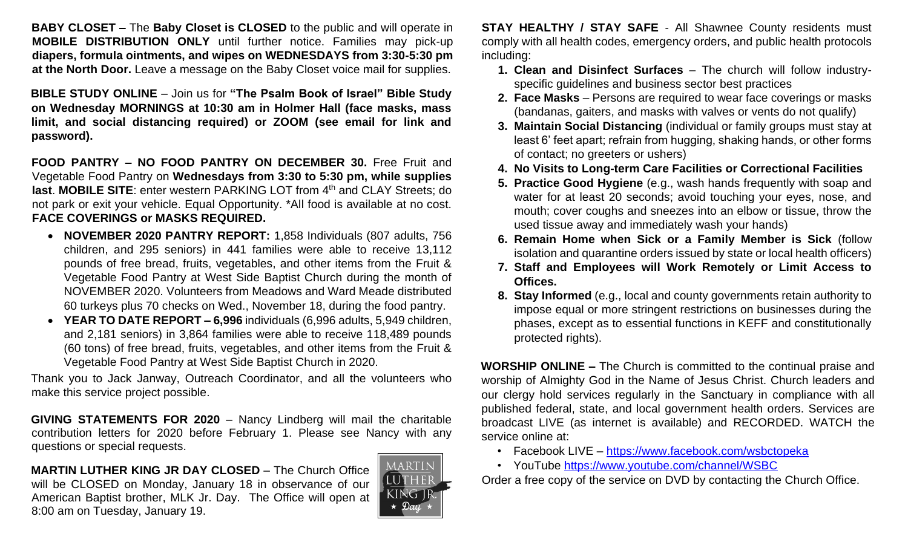**BABY CLOSET –** The **Baby Closet is CLOSED** to the public and will operate in **MOBILE DISTRIBUTION ONLY** until further notice. Families may pick-up **diapers, formula ointments, and wipes on WEDNESDAYS from 3:30-5:30 pm at the North Door.** Leave a message on the Baby Closet voice mail for supplies.

**BIBLE STUDY ONLINE** – Join us for **"The Psalm Book of Israel" Bible Study on Wednesday MORNINGS at 10:30 am in Holmer Hall (face masks, mass limit, and social distancing required) or ZOOM (see email for link and password).** 

**FOOD PANTRY – NO FOOD PANTRY ON DECEMBER 30.** Free Fruit and Vegetable Food Pantry on **Wednesdays from 3:30 to 5:30 pm, while supplies last. MOBILE SITE:** enter western PARKING LOT from 4<sup>th</sup> and CLAY Streets; do not park or exit your vehicle. Equal Opportunity. \*All food is available at no cost. **FACE COVERINGS or MASKS REQUIRED.**

- **NOVEMBER 2020 PANTRY REPORT:** 1,858 Individuals (807 adults, 756 children, and 295 seniors) in 441 families were able to receive 13,112 pounds of free bread, fruits, vegetables, and other items from the Fruit & Vegetable Food Pantry at West Side Baptist Church during the month of NOVEMBER 2020. Volunteers from Meadows and Ward Meade distributed 60 turkeys plus 70 checks on Wed., November 18, during the food pantry.
- **YEAR TO DATE REPORT – 6,996** individuals (6,996 adults, 5,949 children, and 2,181 seniors) in 3,864 families were able to receive 118,489 pounds (60 tons) of free bread, fruits, vegetables, and other items from the Fruit & Vegetable Food Pantry at West Side Baptist Church in 2020.

Thank you to Jack Janway, Outreach Coordinator, and all the volunteers who make this service project possible.

**GIVING STATEMENTS FOR 2020** – Nancy Lindberg will mail the charitable contribution letters for 2020 before February 1. Please see Nancy with any questions or special requests.

**MARTIN LUTHER KING JR DAY CLOSED** – The Church Office will be CLOSED on Monday, January 18 in observance of our American Baptist brother, MLK Jr. Day. The Office will open at 8:00 am on Tuesday, January 19.



**STAY HEALTHY / STAY SAFE** - All Shawnee County residents must comply with all health codes, emergency orders, and public health protocols including:

- **1. Clean and Disinfect Surfaces** The church will follow industryspecific guidelines and business sector best practices
- **2. Face Masks** Persons are required to wear face coverings or masks (bandanas, gaiters, and masks with valves or vents do not qualify)
- **3. Maintain Social Distancing** (individual or family groups must stay at least 6' feet apart; refrain from hugging, shaking hands, or other forms of contact; no greeters or ushers)
- **4. No Visits to Long-term Care Facilities or Correctional Facilities**
- **5. Practice Good Hygiene** (e.g., wash hands frequently with soap and water for at least 20 seconds; avoid touching your eyes, nose, and mouth; cover coughs and sneezes into an elbow or tissue, throw the used tissue away and immediately wash your hands)
- **6. Remain Home when Sick or a Family Member is Sick** (follow isolation and quarantine orders issued by state or local health officers)
- **7. Staff and Employees will Work Remotely or Limit Access to Offices.**
- **8. Stay Informed** (e.g., local and county governments retain authority to impose equal or more stringent restrictions on businesses during the phases, except as to essential functions in KEFF and constitutionally protected rights).

**WORSHIP ONLINE –** The Church is committed to the continual praise and worship of Almighty God in the Name of Jesus Christ. Church leaders and our clergy hold services regularly in the Sanctuary in compliance with all published federal, state, and local government health orders. Services are broadcast LIVE (as internet is available) and RECORDED. WATCH the service online at:

- Facebook LIVE <https://www.facebook.com/wsbctopeka>
- YouTube <https://www.youtube.com/channel/WSBC>

Order a free copy of the service on DVD by contacting the Church Office.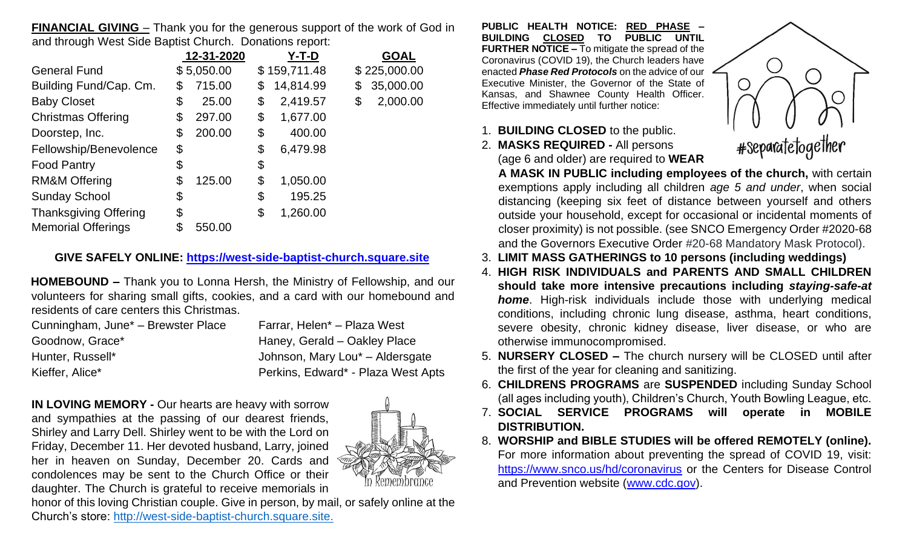**FINANCIAL GIVING** – Thank you for the generous support of the work of God in and through West Side Baptist Church. Donations report:

|                              | 12-31-2020   | $Y-T-D$         | <b>GOAL</b>     |
|------------------------------|--------------|-----------------|-----------------|
| <b>General Fund</b>          | \$5,050.00   | \$159,711.48    | \$225,000.00    |
| Building Fund/Cap. Cm.       | \$<br>715.00 | \$<br>14,814.99 | \$<br>35,000.00 |
| <b>Baby Closet</b>           | \$<br>25.00  | \$<br>2,419.57  | \$<br>2,000.00  |
| <b>Christmas Offering</b>    | \$<br>297.00 | \$<br>1,677.00  |                 |
| Doorstep, Inc.               | \$<br>200.00 | \$<br>400.00    |                 |
| Fellowship/Benevolence       | \$           | \$<br>6,479.98  |                 |
| <b>Food Pantry</b>           | \$           | \$              |                 |
| <b>RM&amp;M Offering</b>     | \$<br>125.00 | \$<br>1,050.00  |                 |
| <b>Sunday School</b>         | \$           | \$<br>195.25    |                 |
| <b>Thanksgiving Offering</b> | \$           | \$<br>1,260.00  |                 |
| <b>Memorial Offerings</b>    | \$<br>550.00 |                 |                 |

#### **GIVE SAFELY ONLINE: [https://west-side-baptist-church.square.site](https://west-side-baptist-church.square.site/)**

**HOMEBOUND –** Thank you to Lonna Hersh, the Ministry of Fellowship, and our volunteers for sharing small gifts, cookies, and a card with our homebound and residents of care centers this Christmas.

| Cunningham, June <sup>*</sup> – Brewster Place | Farrar, Helen* - Plaza West                 |
|------------------------------------------------|---------------------------------------------|
| Goodnow, Grace*                                | Haney, Gerald - Oakley Place                |
| Hunter, Russell*                               | Johnson, Mary Lou <sup>*</sup> - Aldersgate |
| Kieffer, Alice*                                | Perkins, Edward* - Plaza West Apts          |

**IN LOVING MEMORY -** Our hearts are heavy with sorrow and sympathies at the passing of our dearest friends, Shirley and Larry Dell. Shirley went to be with the Lord on Friday, December 11. Her devoted husband, Larry, joined her in heaven on Sunday, December 20. Cards and condolences may be sent to the Church Office or their daughter. The Church is grateful to receive memorials in



honor of this loving Christian couple. Give in person, by mail, or safely online at the Church's store: [http://west-side-baptist-church.square.site.](https://west-side-baptist-church.square.site/?fbclid=IwAR0OyNdIhxVhOtwDo_4M3EohIVjkxfvw_28KDYG7MSEgx8MonskizwxrmKQ)

**PUBLIC HEALTH NOTICE: RED PHASE – BUILDING CLOSED TO PUBLIC UNTIL FURTHER NOTICE –** To mitigate the spread of the Coronavirus (COVID 19), the Church leaders have enacted *Phase Red Protocols* on the advice of our Executive Minister, the Governor of the State of Kansas, and Shawnee County Health Officer. Effective immediately until further notice:

- 1. **BUILDING CLOSED** to the public.
- 2. **MASKS REQUIRED -** All persons (age 6 and older) are required to **WEAR**



**A MASK IN PUBLIC including employees of the church,** with certain exemptions apply including all children *age 5 and under*, when social distancing (keeping six feet of distance between yourself and others outside your household, except for occasional or incidental moments of closer proximity) is not possible. (see SNCO Emergency Order #2020-68 and the Governors Executive Order #20-68 Mandatory Mask Protocol).

- 3. **LIMIT MASS GATHERINGS to 10 persons (including weddings)**
- 4. **HIGH RISK INDIVIDUALS and PARENTS AND SMALL CHILDREN should take more intensive precautions including** *staying-safe-at home*. High-risk individuals include those with underlying medical conditions, including chronic lung disease, asthma, heart conditions, severe obesity, chronic kidney disease, liver disease, or who are otherwise immunocompromised.
- 5. **NURSERY CLOSED –** The church nursery will be CLOSED until after the first of the year for cleaning and sanitizing.
- 6. **CHILDRENS PROGRAMS** are **SUSPENDED** including Sunday School (all ages including youth), Children's Church, Youth Bowling League, etc.
- 7. **SOCIAL SERVICE PROGRAMS will operate in MOBILE DISTRIBUTION.**
- 8. **WORSHIP and BIBLE STUDIES will be offered REMOTELY (online).**  For more information about preventing the spread of COVID 19, visit: <https://www.snco.us/hd/coronavirus> [o](https://www.snco.us/hd/coronavirus)r the Centers for Disease Control and Prevention website [\(www.cdc.gov\).](http://www.cdc.gov/)